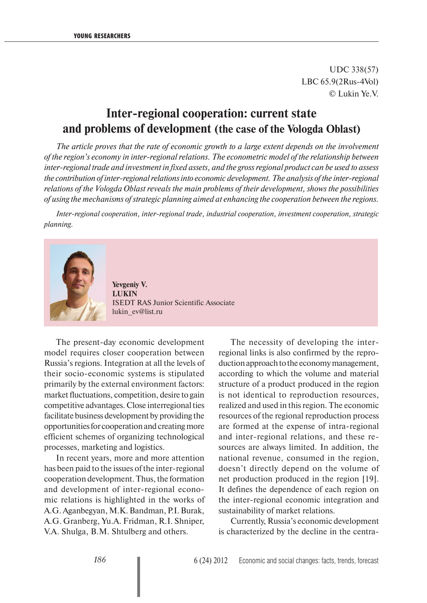UDC 338(57) LBC 65.9(2Rus-4Vol) © Lukin Ye.V.

## **Inter-regional cooperation: current state and problems of development (the case of the Vologda Oblast)**

*The article proves that the rate of economic growth to a large extent depends on the involvement of the region's economy in inter-regional relations. The econometric model of the relationship between inter-regional trade and investment in fixed assets, and the gross regional product can be used to assess the contribution of inter-regional relations into economic development. The analysis of the inter-regional relations of the Vologda Oblast reveals the main problems of their development, shows the possibilities of using the mechanisms of strategic planning aimed at enhancing the cooperation between the regions.* 

*Inter-regional cooperation, inter-regional trade, industrial cooperation, investment cooperation, strategic planning.*



**Yevgeniy V. LUKIN**  ISEDT RAS Junior Scientific Associate lukin\_ev@list.ru

The present-day economic development model requires closer cooperation between Russia's regions. Integration at all the levels of their socio-economic systems is stipulated primarily by the external environment factors: market fluctuations, competition, desire to gain competitive advantages. Close interregional ties facilitate business development by providing the opportunities for cooperation and creating more efficient schemes of organizing technological processes, marketing and logistics.

In recent years, more and more attention has been paid to the issues of the inter-regional cooperation development. Thus, the formation and development of inter-regional economic relations is highlighted in the works of A.G. Aganbegyan, M.K. Bandman, P.I. Burak, A.G. Granberg, Yu.A. Fridman, R.I. Shniper, V.A. Shulga, B.M. Shtulberg and others.

The necessity of developing the interregional links is also confirmed by the reproduction approach to the economy management, according to which the volume and material structure of a product produced in the region is not identical to reproduction resources, realized and used in this region. The economic resources of the regional reproduction process are formed at the expense of intra-regional and inter-regional relations, and these resources are always limited. In addition, the national revenue, consumed in the region, doesn't directly depend on the volume of net production produced in the region [19]. It defines the dependence of each region on the inter-regional economic integration and sustainability of market relations.

Currently, Russia's economic development is characterized by the decline in the centra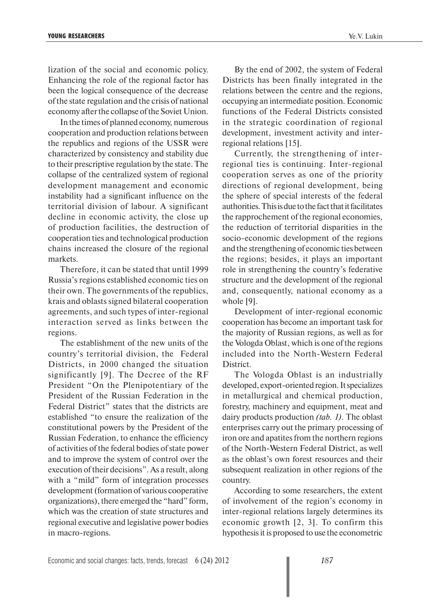lization of the social and economic policy. Enhancing the role of the regional factor has been the logical consequence of the decrease of the state regulation and the crisis of national economy after the collapse of the Soviet Union.

In the times of planned economy, numerous cooperation and production relations between the republics and regions of the USSR were characterized by consistency and stability due to their prescriptive regulation by the state. The collapse of the centralized system of regional development management and economic instability had a significant influence on the territorial division of labour. A significant decline in economic activity, the close up of production facilities, the destruction of cooperation ties and technological production chains increased the closure of the regional markets.

Therefore, it can be stated that until 1999 Russia's regions established economic ties on their own. The governments of the republics, krais and oblasts signed bilateral cooperation agreements, and such types of inter-regional interaction served as links between the regions.

The establishment of the new units of the country's territorial division, the Federal Districts, in 2000 changed the situation significantly [9]. The Decree of the RF President "On the Plenipotentiary of the President of the Russian Federation in the Federal District" states that the districts are established "to ensure the realization of the constitutional powers by the President of the Russian Federation, to enhance the efficiency of activities of the federal bodies of state power and to improve the system of control over the execution of their decisions". As a result, along with a "mild" form of integration processes development (formation of various cooperative organizations), there emerged the "hard" form, which was the creation of state structures and regional executive and legislative power bodies in macro-regions.

By the end of 2002, the system of Federal Districts has been finally integrated in the relations between the centre and the regions, occupying an intermediate position. Economic functions of the Federal Districts consisted in the strategic coordination of regional development, investment activity and interregional relations [15].

Currently, the strengthening of interregional ties is continuing. Inter-regional cooperation serves as one of the priority directions of regional development, being the sphere of special interests of the federal authorities. This is due to the fact that it facilitates the rapprochement of the regional economies, the reduction of territorial disparities in the socio-economic development of the regions and the strengthening of economic ties between the regions; besides, it plays an important role in strengthening the country's federative structure and the development of the regional and, consequently, national economy as a whole [9].

Development of inter-regional economic cooperation has become an important task for the majority of Russian regions, as well as for the Vologda Oblast, which is one of the regions included into the North-Western Federal District.

The Vologda Oblast is an industrially developed, export-oriented region. It specializes in metallurgical and chemical production, forestry, machinery and equipment, meat and dairy products production *(tab. 1)*. The oblast enterprises carry out the primary processing of iron ore and apatites from the northern regions of the North-Western Federal District, as well as the oblast's own forest resources and their subsequent realization in other regions of the country.

According to some researchers, the extent of involvement of the region's economy in inter-regional relations largely determines its economic growth [2, 3]. To confirm this hypothesis it is proposed to use the econometric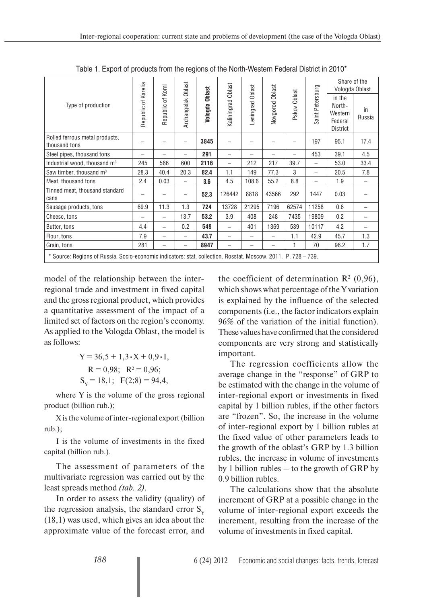|                                                                                                                |                     |                     |                          |                          | Oblast                   | Oblast    | Oblast   |              |                          | Share of the<br>Vologda Oblast                            |              |
|----------------------------------------------------------------------------------------------------------------|---------------------|---------------------|--------------------------|--------------------------|--------------------------|-----------|----------|--------------|--------------------------|-----------------------------------------------------------|--------------|
| Type of production                                                                                             | Republic of Karelia | of Komi<br>Republic | Archangelsk Oblast       | <b>Oblast</b><br>Vologda | Kaliningrad              | Leningrad | Vovgorod | Pskov Oblast | Petersburg<br>Saint I    | in the<br>North-<br>Western<br>Federal<br><b>District</b> | in<br>Russia |
| Rolled ferrous metal products,<br>thousand tons                                                                | -                   |                     | -                        | 3845                     | -                        |           |          | -            | 197                      | 95.1                                                      | 17.4         |
| Steel pipes, thousand tons                                                                                     | -                   |                     | -                        | 291                      | -                        |           |          |              | 453                      | 39.1                                                      | 4.5          |
| Industrial wood, thousand m <sup>3</sup>                                                                       | 245                 | 566                 | 600                      | 2116                     | $\overline{\phantom{0}}$ | 212       | 217      | 39.7         | $\overline{\phantom{0}}$ | 53.0                                                      | 33.4         |
| Saw timber, thousand m <sup>3</sup>                                                                            | 28.3                | 40.4                | 20.3                     | 82.4                     | 1.1                      | 149       | 77.3     | 3            | -                        | 20.5                                                      | 7.8          |
| Meat, thousand tons                                                                                            | 2.4                 | 0.03                | -                        | 3.6                      | 4.5                      | 108.6     | 55.2     | 8.8          |                          | 1.9                                                       |              |
| Tinned meat, thousand standard<br>cans                                                                         |                     |                     | -                        | 52.3                     | 126442                   | 8818      | 43566    | 292          | 1447                     | 0.03                                                      |              |
| Sausage products, tons                                                                                         | 69.9                | 11.3                | 1.3                      | 724                      | 13728                    | 21295     | 7196     | 62574        | 11258                    | 0.6                                                       |              |
| Cheese, tons                                                                                                   | -                   | -                   | 13.7                     | 53.2                     | 3.9                      | 408       | 248      | 7435         | 19809                    | 0.2                                                       |              |
| Butter, tons                                                                                                   | 4.4                 | -                   | 0.2                      | 549                      | $\overline{\phantom{0}}$ | 401       | 1369     | 539          | 10117                    | 4.2                                                       |              |
| Flour, tons                                                                                                    | 7.9                 |                     | $\overline{\phantom{0}}$ | 43.7                     | -                        |           |          | 1.1          | 42.9                     | 45.7                                                      | 1.3          |
| Grain, tons                                                                                                    | 281                 | -                   | $\overline{\phantom{0}}$ | 8947                     |                          |           |          |              | 70                       | 96.2                                                      | 1.7          |
| * Source: Regions of Russia. Socio-economic indicators: stat. collection. Rosstat. Moscow, 2011. P. 728 – 739. |                     |                     |                          |                          |                          |           |          |              |                          |                                                           |              |

Table 1. Export of products from the regions of the North-Western Federal District in 2010\*

model of the relationship between the interregional trade and investment in fixed capital and the gross regional product, which provides a quantitative assessment of the impact of a limited set of factors on the region's economy. As applied to the Vologda Oblast, the model is as follows:

> $Y = 36.5 + 1.3 \cdot X + 0.9 \cdot I$ ,  $R = 0.98$ ;  $R^2 = 0.96$ ;  $S_y = 18,1$ ;  $F(2,8) = 94,4$ ,

where Y is the volume of the gross regional product (billion rub.);

X is the volume of inter-regional export (billion rub.);

I is the volume of investments in the fixed capital (billion rub.).

The assessment of parameters of the multivariate regression was carried out by the least spreads method *(tab. 2)*.

In order to assess the validity (quality) of the regression analysis, the standard error  $S_{v}$ (18,1) was used, which gives an idea about the approximate value of the forecast error, and

the coefficient of determination  $\mathbb{R}^2$  (0,96), which shows what percentage of the Y variation is explained by the influence of the selected components (i.e., the factor indicators explain 96% of the variation of the initial function). These values have confirmed that the considered components are very strong and statistically important.

The regression coefficients allow the average change in the "response" of GRP to be estimated with the change in the volume of inter-regional export or investments in fixed capital by 1 billion rubles, if the other factors are "frozen". So, the increase in the volume of inter-regional export by 1 billion rubles at the fixed value of other parameters leads to the growth of the oblast's GRP by 1.3 billion rubles, the increase in volume of investments by 1 billion rubles – to the growth of GRP by 0.9 billion rubles.

The calculations show that the absolute increment of GRP at a possible change in the volume of inter-regional export exceeds the increment, resulting from the increase of the volume of investments in fixed capital.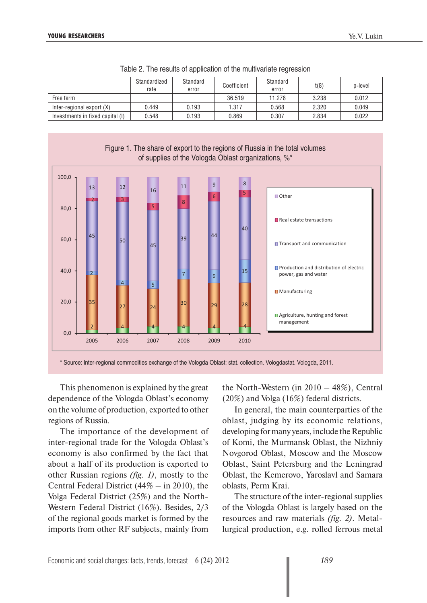|                                  | Standardized<br>rate | Standard<br>error | Coefficient | Standard<br>error | t(8)  | p-level |
|----------------------------------|----------------------|-------------------|-------------|-------------------|-------|---------|
| Free term                        |                      |                   | 36.519      | 11.278            | 3.238 | 0.012   |
| Inter-regional export (X)        | 0.449                | 0.193             | 1.317       | 0.568             | 2.320 | 0.049   |
| Investments in fixed capital (I) | 0.548                | 0.193             | 0.869       | 0.307             | 2.834 | 0.022   |

|  |  |  |  |  | Table 2. The results of application of the multivariate regression |  |
|--|--|--|--|--|--------------------------------------------------------------------|--|
|--|--|--|--|--|--------------------------------------------------------------------|--|



\* Source: Inter-regional commodities exchange of the Vologda Oblast: stat. collection. Vologdastat. Vologda, 2011.

This phenomenon is explained by the great dependence of the Vologda Oblast's economy on the volume of production, exported to other regions of Russia.

The importance of the development of inter-regional trade for the Vologda Oblast's economy is also confirmed by the fact that about a half of its production is exported to other Russian regions *(fig. 1)*, mostly to the Central Federal District (44% – in 2010), the Volga Federal District (25%) and the North-Western Federal District (16%). Besides, 2/3 of the regional goods market is formed by the imports from other RF subjects, mainly from

the North-Western (in 2010 – 48%), Central (20%) and Volga (16%) federal districts.

In general, the main counterparties of the oblast, judging by its economic relations, developing for many years, include the Republic of Komi, the Murmansk Oblast, the Nizhniy Novgorod Oblast, Moscow and the Moscow Oblast, Saint Petersburg and the Leningrad Oblast, the Kemerovo, Yaroslavl and Samara oblasts, Perm Krai.

The structure of the inter-regional supplies of the Vologda Oblast is largely based on the resources and raw materials *(fig. 2)*. Metallurgical production, e.g. rolled ferrous metal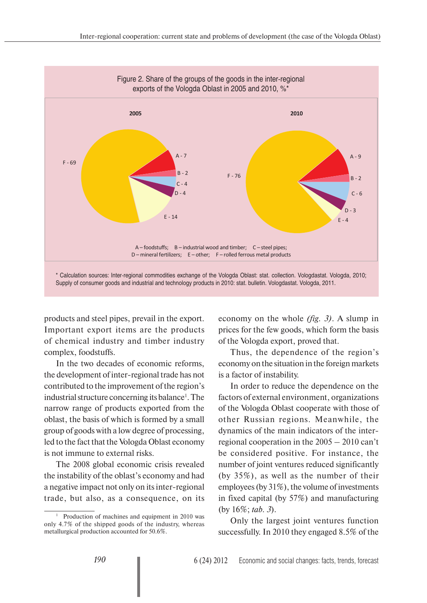

products and steel pipes, prevail in the export. Important export items are the products of chemical industry and timber industry complex, foodstuffs.

In the two decades of economic reforms, the development of inter-regional trade has not contributed to the improvement of the region's industrial structure concerning its balance<sup>1</sup>. The narrow range of products exported from the oblast, the basis of which is formed by a small group of goods with a low degree of processing, led to the fact that the Vologda Oblast economy is not immune to external risks.

The 2008 global economic crisis revealed the instability of the oblast's economy and had a negative impact not only on its inter-regional trade, but also, as a consequence, on its economy on the whole *(fig. 3)*. A slump in prices for the few goods, which form the basis of the Vologda export, proved that.

Thus, the dependence of the region's economy on the situation in the foreign markets is a factor of instability.

In order to reduce the dependence on the factors of external environment, organizations of the Vologda Oblast cooperate with those of other Russian regions. Meanwhile, the dynamics of the main indicators of the interregional cooperation in the 2005 – 2010 can't be considered positive. For instance, the number of joint ventures reduced significantly (by 35%), as well as the number of their employees (by 31%), the volume of investments in fixed capital (by 57%) and manufacturing (by 16%; *tab. 3*).

Only the largest joint ventures function successfully. In 2010 they engaged 8.5% of the

<sup>&</sup>lt;sup>1</sup> Production of machines and equipment in 2010 was only 4.7% of the shipped goods of the industry, whereas metallurgical production accounted for 50.6%.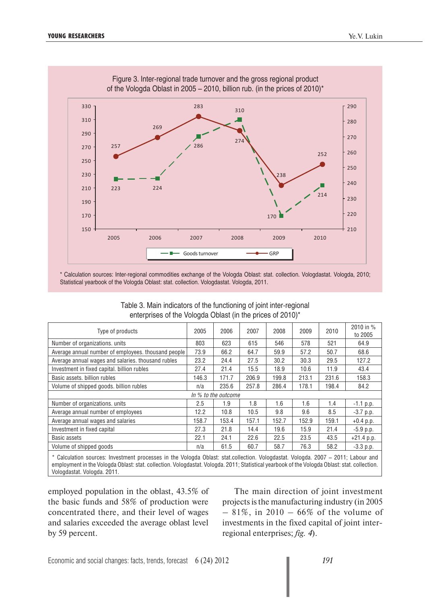

\* Calculation sources: Inter-regional commodities exchange of the Vologda Oblast: stat. collection. Vologdastat. Vologda, 2010; Statistical yearbook of the Vologda Oblast: stat. collection. Vologdastat. Vologda, 2011.

Table 3. Main indicators of the functioning of joint inter-regional enterprises of the Vologda Oblast (in the prices of 2010)\*

| Type of products                                    | 2005  | 2006                | 2007  | 2008  | 2009  | 2010  | 2010 in %<br>to 2005 |
|-----------------------------------------------------|-------|---------------------|-------|-------|-------|-------|----------------------|
| Number of organizations, units                      | 803   | 623                 | 615   | 546   | 578   | 521   | 64.9                 |
| Average annual number of employees, thousand people | 73.9  | 66.2                | 64.7  | 59.9  | 57.2  | 50.7  | 68.6                 |
| Average annual wages and salaries. thousand rubles  | 23.2  | 24.4                | 27.5  | 30.2  | 30.3  | 29.5  | 127.2                |
| Investment in fixed capital, billion rubles         | 27.4  | 21.4                | 15.5  | 18.9  | 10.6  | 11.9  | 43.4                 |
| Basic assets, billion rubles                        | 146.3 | 171.7               | 206.9 | 199.8 | 213.1 | 231.6 | 158.3                |
| Volume of shipped goods. billion rubles             | n/a   | 235.6               | 257.8 | 286.4 | 178.1 | 198.4 | 84.2                 |
|                                                     |       | In % to the outcome |       |       |       |       |                      |
| Number of organizations, units                      | 2.5   | 1.9                 | 1.8   | 1.6   | 1.6   | 1.4   | $-1.1$ p.p.          |
| Average annual number of employees                  | 12.2  | 10.8                | 10.5  | 9.8   | 9.6   | 8.5   | $-3.7$ p.p.          |
| Average annual wages and salaries                   | 158.7 | 153.4               | 157.1 | 152.7 | 152.9 | 159.1 | $+0.4$ p.p.          |
| Investment in fixed capital                         | 27.3  | 21.8                | 14.4  | 19.6  | 15.9  | 21.4  | $-5.9$ p.p.          |
| Basic assets                                        | 22.1  | 24.1                | 22.6  | 22.5  | 23.5  | 43.5  | $+21.4$ p.p.         |
| Volume of shipped goods                             | n/a   | 61.5                | 60.7  | 58.7  | 76.3  | 58.2  | $-3.3$ p.p.          |
|                                                     |       |                     |       |       |       |       |                      |

\* Calculation sources: Investment processes in the Vologda Oblast: stat.collection. Vologdastat. Vologda. 2007 – 2011; Labour and employment in the Vologda Oblast: stat. collection. Vologdastat. Vologda. 2011; Statistical yearbook of the Vologda Oblast: stat. collection. Vologdastat. Vologda. 2011.

employed population in the oblast, 43.5% of the basic funds and 58% of production were concentrated there, and their level of wages and salaries exceeded the average oblast level by 59 percent.

The main direction of joint investment projects is the manufacturing industry (in 2005  $-81\%$ , in 2010 – 66% of the volume of investments in the fixed capital of joint interregional enterprises; *fig. 4*).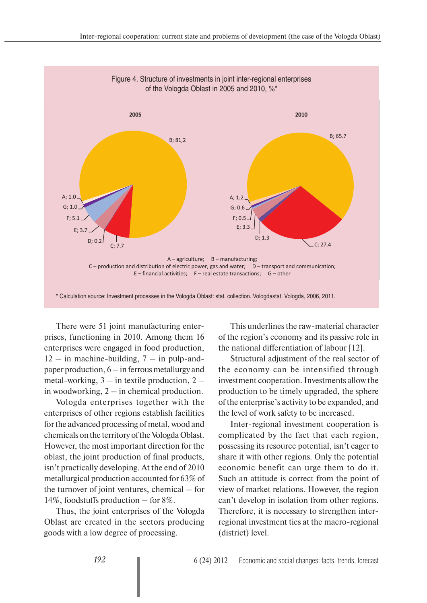

There were 51 joint manufacturing enterprises, functioning in 2010. Among them 16 enterprises were engaged in food production,  $12 - in$  machine-building,  $7 - in$  pulp-andpaper production, 6 – in ferrous metallurgy and metal-working,  $3 -$  in textile production,  $2$ in woodworking, 2 – in chemical production.

Vologda enterprises together with the enterprises of other regions establish facilities for the advanced processing of metal, wood and chemicals on the territory of the Vologda Oblast. However, the most important direction for the oblast, the joint production of final products, isn't practically developing. At the end of 2010 metallurgical production accounted for 63% of the turnover of joint ventures, chemical – for 14%, foodstuffs production – for 8%.

Thus, the joint enterprises of the Vologda Oblast are created in the sectors producing goods with a low degree of processing.

This underlines the raw-material character of the region's economy and its passive role in the national differentiation of labour [12].

Structural adjustment of the real sector of the economy can be intensified through investment cooperation. Investments allow the production to be timely upgraded, the sphere of the enterprise's activity to be expanded, and the level of work safety to be increased.

Inter-regional investment cooperation is complicated by the fact that each region, possessing its resource potential, isn't eager to share it with other regions. Only the potential economic benefit can urge them to do it. Such an attitude is correct from the point of view of market relations. However, the region can't develop in isolation from other regions. Therefore, it is necessary to strengthen interregional investment ties at the macro-regional (district) level.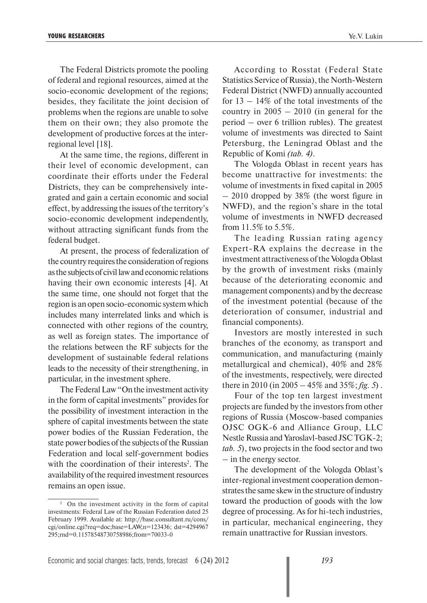The Federal Districts promote the pooling of federal and regional resources, aimed at the socio-economic development of the regions; besides, they facilitate the joint decision of problems when the regions are unable to solve them on their own; they also promote the development of productive forces at the interregional level [18].

At the same time, the regions, different in their level of economic development, can coordinate their efforts under the Federal Districts, they can be comprehensively integrated and gain a certain economic and social effect, by addressing the issues of the territory's socio-economic development independently, without attracting significant funds from the federal budget.

At present, the process of federalization of the country requires the consideration of regions as the subjects of civil law and economic relations having their own economic interests [4]. At the same time, one should not forget that the region is an open socio-economic system which includes many interrelated links and which is connected with other regions of the country, as well as foreign states. The importance of the relations between the RF subjects for the development of sustainable federal relations leads to the necessity of their strengthening, in particular, in the investment sphere.

The Federal Law "On the investment activity in the form of capital investments" provides for the possibility of investment interaction in the sphere of capital investments between the state power bodies of the Russian Federation, the state power bodies of the subjects of the Russian Federation and local self-government bodies with the coordination of their interests<sup>2</sup>. The availability of the required investment resources remains an open issue.

According to Rosstat (Federal State Statistics Service of Russia), the North-Western Federal District (NWFD) annually accounted for 13 – 14% of the total investments of the country in  $2005 - 2010$  (in general for the period – over 6 trillion rubles). The greatest volume of investments was directed to Saint Petersburg, the Leningrad Oblast and the Republic of Komi *(tab. 4)*.

The Vologda Oblast in recent years has become unattractive for investments: the volume of investments in fixed capital in 2005 – 2010 dropped by 38% (the worst figure in NWFD), and the region's share in the total volume of investments in NWFD decreased from 11.5% to 5.5%.

The leading Russian rating agency Expert-RA explains the decrease in the investment attractiveness of the Vologda Oblast by the growth of investment risks (mainly because of the deteriorating economic and management components) and by the decrease of the investment potential (because of the deterioration of consumer, industrial and financial components).

Investors are mostly interested in such branches of the economy, as transport and communication, and manufacturing (mainly metallurgical and chemical), 40% and 28% of the investments, respectively, were directed there in 2010 (in 2005 – 45% and 35%; *fig. 5*) .

Four of the top ten largest investment projects are funded by the investors from other regions of Russia (Moscow-based companies OJSC OGK-6 and Alliance Group, LLC Nestle Russia and Yaroslavl-based JSC TGK-2; *tab. 5*), two projects in the food sector and two – in the energy sector.

The development of the Vologda Oblast's inter-regional investment cooperation demonstrates the same skew in the structure of industry toward the production of goods with the low degree of processing. As for hi-tech industries, in particular, mechanical engineering, they remain unattractive for Russian investors.

<sup>&</sup>lt;sup>2</sup> On the investment activity in the form of capital investments: Federal Law of the Russian Federation dated 25 February 1999. Available at: http://base.consultant.ru/cons/ cgi/online.cgi?req=doc;base=LAW;n=123436; dst=4294967 295;rnd=0.11578548730758986;from=70033-0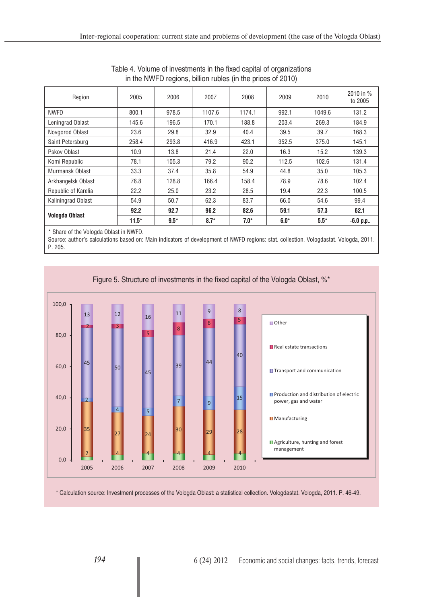| 2005    | 2006                                    | 2007   | 2008   | 2009   | 2010   | 2010 in %<br>to 2005 |
|---------|-----------------------------------------|--------|--------|--------|--------|----------------------|
| 800.1   | 978.5                                   | 1107.6 | 1174.1 | 992.1  | 1049.6 | 131.2                |
| 145.6   | 196.5                                   | 170.1  | 188.8  | 203.4  | 269.3  | 184.9                |
| 23.6    | 29.8                                    | 32.9   | 40.4   | 39.5   | 39.7   | 168.3                |
| 258.4   | 293.8                                   | 416.9  | 423.1  | 352.5  | 375.0  | 145.1                |
| 10.9    | 13.8                                    | 21.4   | 22.0   | 16.3   | 15.2   | 139.3                |
| 78.1    | 105.3                                   | 79.2   | 90.2   | 112.5  | 102.6  | 131.4                |
| 33.3    | 37.4                                    | 35.8   | 54.9   | 44.8   | 35.0   | 105.3                |
| 76.8    | 128.8                                   | 166.4  | 158.4  | 78.9   | 78.6   | 102.4                |
| 22.2    | 25.0                                    | 23.2   | 28.5   | 19.4   | 22.3   | 100.5                |
| 54.9    | 50.7                                    | 62.3   | 83.7   | 66.0   | 54.6   | 99.4                 |
| 92.2    | 92.7                                    | 96.2   | 82.6   | 59.1   | 57.3   | 62.1                 |
| $11.5*$ | $9.5*$                                  | $8.7*$ | $7.0*$ | $6.0*$ | $5.5*$ | $-6.0$ p.p           |
|         | * Chara of the Veloade Oblast in MINIED |        |        |        |        |                      |

| Table 4. Volume of investments in the fixed capital of organizations |  |
|----------------------------------------------------------------------|--|
| in the NWFD regions, billion rubles (in the prices of 2010)          |  |

Share of the Vologda Oblast in NWFD.

Source: author's calculations based on: Main indicators of development of NWFD regions: stat. collection. Vologdastat. Vologda, 2011. Р. 205.



Figure 5. Structure of investments in the fixed capital of the Vologda Oblast, %\*

\* Calculation source: Investment processes of the Vologda Oblast: a statistical collection. Vologdastat. Vologda, 2011. P. 46-49.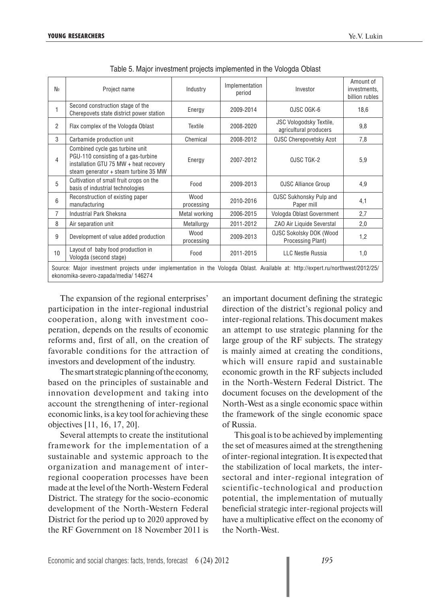| N₫                                                                                                                                                                      | Project name                                                                                                                                              | Industry           | Implementation<br>period | Investor                                            | Amount of<br>investments,<br>billion rubles |  |  |  |
|-------------------------------------------------------------------------------------------------------------------------------------------------------------------------|-----------------------------------------------------------------------------------------------------------------------------------------------------------|--------------------|--------------------------|-----------------------------------------------------|---------------------------------------------|--|--|--|
| 1                                                                                                                                                                       | Second construction stage of the<br>Cherepovets state district power station                                                                              | Energy             | 2009-2014                | OJSC OGK-6                                          | 18,6                                        |  |  |  |
| 2                                                                                                                                                                       | Flax complex of the Vologda Oblast                                                                                                                        | Textile            | 2008-2020                | JSC Vologodsky Textile,<br>agricultural producers   | 9,8                                         |  |  |  |
| 3                                                                                                                                                                       | Carbamide production unit                                                                                                                                 | Chemical           | 2008-2012                | <b>OJSC Cherepovetsky Azot</b>                      | 7,8                                         |  |  |  |
| 4                                                                                                                                                                       | Combined cycle gas turbine unit<br>PGU-110 consisting of a gas-turbine<br>installation GTU 75 MW + heat recovery<br>steam generator + steam turbine 35 MW | Energy             | 2007-2012                | OJSC TGK-2                                          | 5,9                                         |  |  |  |
| 5                                                                                                                                                                       | Cultivation of small fruit crops on the<br>basis of industrial technologies                                                                               | Food               | 2009-2013                | <b>OJSC Alliance Group</b>                          | 4,9                                         |  |  |  |
| 6                                                                                                                                                                       | Reconstruction of existing paper<br>manufacturing                                                                                                         | Wood<br>processing | 2010-2016                | <b>OJSC Sukhonsky Pulp and</b><br>Paper mill        | 4,1                                         |  |  |  |
| 7                                                                                                                                                                       | Industrial Park Sheksna                                                                                                                                   | Metal working      | 2006-2015                | Vologda Oblast Government                           | 2,7                                         |  |  |  |
| 8                                                                                                                                                                       | Air separation unit                                                                                                                                       | Metallurgy         | 2011-2012                | ZAO Air Liquide Severstal                           | 2,0                                         |  |  |  |
| 9                                                                                                                                                                       | Development of value added production                                                                                                                     | Wood<br>processing | 2009-2013                | <b>OJSC Sokolsky DOK (Wood</b><br>Processing Plant) | 1,2                                         |  |  |  |
| 10                                                                                                                                                                      | Layout of baby food production in<br>Vologda (second stage)                                                                                               | Food               | 2011-2015                | <b>LLC Nestle Russia</b>                            | 1,0                                         |  |  |  |
| Source: Major investment projects under implementation in the Vologda Oblast. Available at: http://expert.ru/northwest/2012/25/<br>ekonomika-severo-zapada/media/146274 |                                                                                                                                                           |                    |                          |                                                     |                                             |  |  |  |

Table 5. Major investment projects implemented in the Vologda Oblast

The expansion of the regional enterprises' participation in the inter-regional industrial cooperation, along with investment cooperation, depends on the results of economic reforms and, first of all, on the creation of favorable conditions for the attraction of investors and development of the industry.

The smart strategic planning of the economy, based on the principles of sustainable and innovation development and taking into account the strengthening of inter-regional economic links, is a key tool for achieving these objectives [11, 16, 17, 20].

Several attempts to create the institutional framework for the implementation of a sustainable and systemic approach to the organization and management of interregional cooperation processes have been made at the level of the North-Western Federal District. The strategy for the socio-economic development of the North-Western Federal District for the period up to 2020 approved by the RF Government on 18 November 2011 is an important document defining the strategic direction of the district's regional policy and inter-regional relations. This document makes an attempt to use strategic planning for the large group of the RF subjects. The strategy is mainly aimed at creating the conditions, which will ensure rapid and sustainable economic growth in the RF subjects included in the North-Western Federal District. The document focuses on the development of the North-West as a single economic space within the framework of the single economic space of Russia.

This goal is to be achieved by implementing the set of measures aimed at the strengthening of inter-regional integration. It is expected that the stabilization of local markets, the intersectoral and inter-regional integration of scientific-technological and production potential, the implementation of mutually beneficial strategic inter-regional projects will have a multiplicative effect on the economy of the North-West.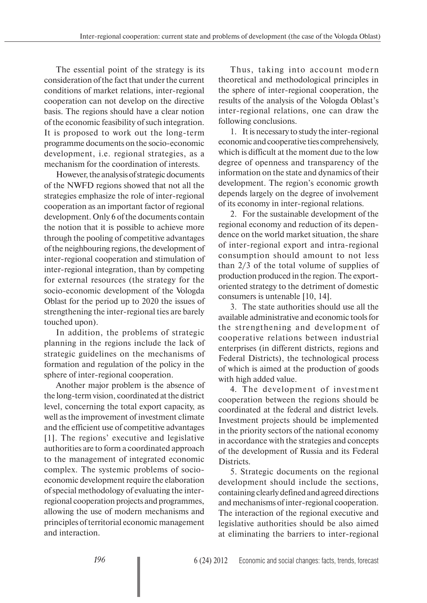The essential point of the strategy is its consideration of the fact that under the current conditions of market relations, inter-regional cooperation can not develop on the directive basis. The regions should have a clear notion of the economic feasibility of such integration. It is proposed to work out the long-term programme documents on the socio-economic development, i.e. regional strategies, as a mechanism for the coordination of interests.

However, the analysis of strategic documents of the NWFD regions showed that not all the strategies emphasize the role of inter-regional cooperation as an important factor of regional development. Only 6 of the documents contain the notion that it is possible to achieve more through the pooling of competitive advantages of the neighbouring regions, the development of inter-regional cooperation and stimulation of inter-regional integration, than by competing for external resources (the strategy for the socio-economic development of the Vologda Oblast for the period up to 2020 the issues of strengthening the inter-regional ties are barely touched upon).

In addition, the problems of strategic planning in the regions include the lack of strategic guidelines on the mechanisms of formation and regulation of the policy in the sphere of inter-regional cooperation.

Another major problem is the absence of the long-term vision, coordinated at the district level, concerning the total export capacity, as well as the improvement of investment climate and the efficient use of competitive advantages [1]. The regions' executive and legislative authorities are to form a coordinated approach to the management of integrated economic complex. The systemic problems of socioeconomic development require the elaboration of special methodology of evaluating the interregional cooperation projects and programmes, allowing the use of modern mechanisms and principles of territorial economic management and interaction.

Thus, taking into account modern theoretical and methodological principles in the sphere of inter-regional cooperation, the results of the analysis of the Vologda Oblast's inter-regional relations, one can draw the following conclusions.

1. It is necessary to study the inter-regional economic and cooperative ties comprehensively, which is difficult at the moment due to the low degree of openness and transparency of the information on the state and dynamics of their development. The region's economic growth depends largely on the degree of involvement of its economy in inter-regional relations.

2. For the sustainable development of the regional economy and reduction of its dependence on the world market situation, the share of inter-regional export and intra-regional consumption should amount to not less than 2/3 of the total volume of supplies of production produced in the region. The exportoriented strategy to the detriment of domestic consumers is untenable [10, 14].

3. The state authorities should use all the available administrative and economic tools for the strengthening and development of cooperative relations between industrial enterprises (in different districts, regions and Federal Districts), the technological process of which is aimed at the production of goods with high added value.

4. The development of investment cooperation between the regions should be coordinated at the federal and district levels. Investment projects should be implemented in the priority sectors of the national economy in accordance with the strategies and concepts of the development of Russia and its Federal Districts.

5. Strategic documents on the regional development should include the sections, containing clearly defined and agreed directions and mechanisms of inter-regional cooperation. The interaction of the regional executive and legislative authorities should be also aimed at eliminating the barriers to inter-regional